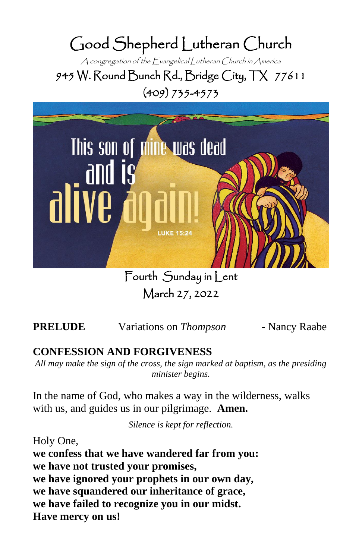# Good Shepherd Lutheran Church

A congregation of the Evangelical Lutheran Church in America 945 W. Round Bunch Rd., Bridge City, TX 77611 (409) 735-4573



Fourth Sunday in Lent March 27, 2022

**PRELUDE** Variations on *Thompson*- Nancy Raabe

# **CONFESSION AND FORGIVENESS**

*All may make the sign of the cross, the sign marked at baptism, as the presiding minister begins.*

In the name of God, who makes a way in the wilderness, walks with us, and guides us in our pilgrimage. **Amen.**

*Silence is kept for reflection.*

Holy One, **we confess that we have wandered far from you: we have not trusted your promises, we have ignored your prophets in our own day, we have squandered our inheritance of grace, we have failed to recognize you in our midst. Have mercy on us!**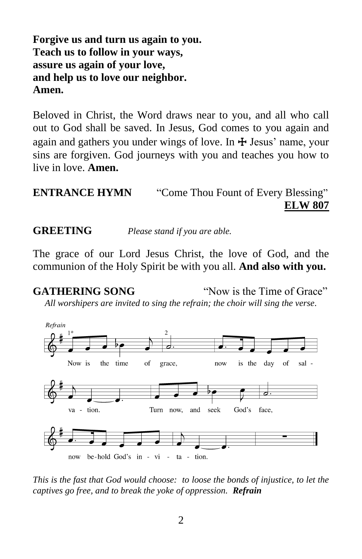# **Forgive us and turn us again to you. Teach us to follow in your ways, assure us again of your love, and help us to love our neighbor. Amen.**

Beloved in Christ, the Word draws near to you, and all who call out to God shall be saved. In Jesus, God comes to you again and again and gathers you under wings of love. In  $\pm$  Jesus' name, your sins are forgiven. God journeys with you and teaches you how to live in love. **Amen.**

# **ENTRANCE HYMN** "Come Thou Fount of Every Blessing" **ELW 807**

**GREETING** *Please stand if you are able.*

The grace of our Lord Jesus Christ, the love of God, and the communion of the Holy Spirit be with you all. **And also with you.**

**GATHERING SONG** "Now is the Time of Grace"

*All worshipers are invited to sing the refrain; the choir will sing the verse.*



*This is the fast that God would choose: to loose the bonds of injustice, to let the captives go free, and to break the yoke of oppression. Refrain*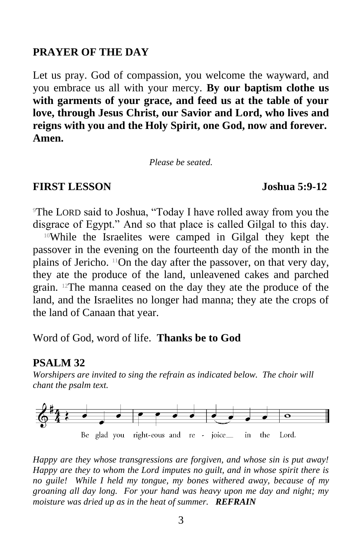#### **PRAYER OF THE DAY**

Let us pray. God of compassion, you welcome the wayward, and you embrace us all with your mercy. **By our baptism clothe us with garments of your grace, and feed us at the table of your love, through Jesus Christ, our Savior and Lord, who lives and reigns with you and the Holy Spirit, one God, now and forever. Amen.**

*Please be seated.*

### **FIRST LESSON Joshua 5:9-12**

<sup>9</sup>The LORD said to Joshua, "Today I have rolled away from you the disgrace of Egypt." And so that place is called Gilgal to this day.

<sup>10</sup>While the Israelites were camped in Gilgal they kept the passover in the evening on the fourteenth day of the month in the plains of Jericho. 11On the day after the passover, on that very day, they ate the produce of the land, unleavened cakes and parched grain. 12The manna ceased on the day they ate the produce of the land, and the Israelites no longer had manna; they ate the crops of the land of Canaan that year.

Word of God, word of life. **Thanks be to God**

#### **PSALM 32**

*Worshipers are invited to sing the refrain as indicated below. The choir will chant the psalm text.* 



*Happy are they whose transgressions are forgiven, and whose sin is put away! Happy are they to whom the Lord imputes no guilt, and in whose spirit there is no guile! While I held my tongue, my bones withered away, because of my groaning all day long. For your hand was heavy upon me day and night; my moisture was dried up as in the heat of summer. REFRAIN*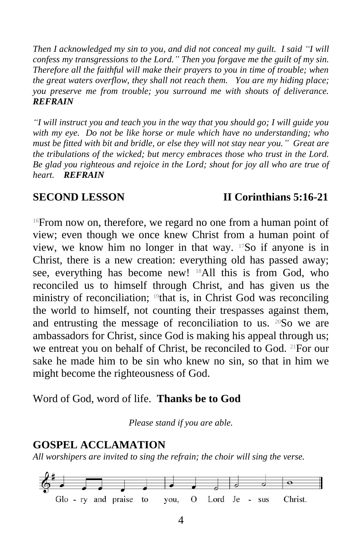*Then I acknowledged my sin to you, and did not conceal my guilt. I said "I will confess my transgressions to the Lord." Then you forgave me the guilt of my sin. Therefore all the faithful will make their prayers to you in time of trouble; when the great waters overflow, they shall not reach them. You are my hiding place; you preserve me from trouble; you surround me with shouts of deliverance. REFRAIN*

*"I will instruct you and teach you in the way that you should go; I will guide you with my eye. Do not be like horse or mule which have no understanding; who must be fitted with bit and bridle, or else they will not stay near you." Great are the tribulations of the wicked; but mercy embraces those who trust in the Lord. Be glad you righteous and rejoice in the Lord; shout for joy all who are true of heart. REFRAIN*

### **SECOND LESSON II Corinthians 5:16-21**

<sup>16</sup>From now on, therefore, we regard no one from a human point of view; even though we once knew Christ from a human point of view, we know him no longer in that way. 17So if anyone is in Christ, there is a new creation: everything old has passed away; see, everything has become new! 18All this is from God, who reconciled us to himself through Christ, and has given us the ministry of reconciliation; 19that is, in Christ God was reconciling the world to himself, not counting their trespasses against them, and entrusting the message of reconciliation to us. <sup>20</sup>So we are ambassadors for Christ, since God is making his appeal through us; we entreat you on behalf of Christ, be reconciled to God. 21For our sake he made him to be sin who knew no sin, so that in him we might become the righteousness of God.

Word of God, word of life. **Thanks be to God**

*Please stand if you are able.*

## **GOSPEL ACCLAMATION**

*All worshipers are invited to sing the refrain; the choir will sing the verse.* 

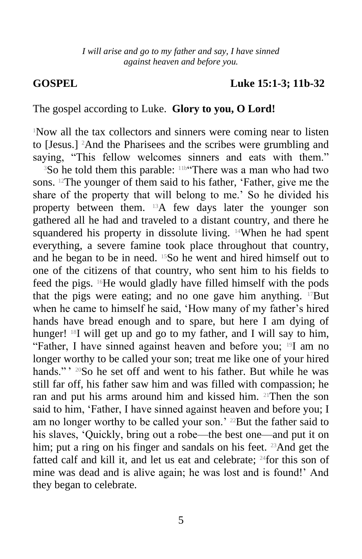#### *I will arise and go to my father and say, I have sinned against heaven and before you.*

#### **GOSPEL Luke 15:1-3; 11b-32**

#### The gospel according to Luke. **Glory to you, O Lord!**

<sup>1</sup>Now all the tax collectors and sinners were coming near to listen to [Jesus.] <sup>2</sup>And the Pharisees and the scribes were grumbling and saying, "This fellow welcomes sinners and eats with them."

<sup>3</sup>So he told them this parable: <sup>11b"</sup>There was a man who had two sons. 12The younger of them said to his father, 'Father, give me the share of the property that will belong to me.' So he divided his property between them. 13A few days later the younger son gathered all he had and traveled to a distant country, and there he squandered his property in dissolute living. <sup>14</sup>When he had spent everything, a severe famine took place throughout that country, and he began to be in need. 15So he went and hired himself out to one of the citizens of that country, who sent him to his fields to feed the pigs. 16He would gladly have filled himself with the pods that the pigs were eating; and no one gave him anything.  $17$ But when he came to himself he said, 'How many of my father's hired hands have bread enough and to spare, but here I am dying of hunger! <sup>18</sup>I will get up and go to my father, and I will say to him, "Father, I have sinned against heaven and before you; 19I am no longer worthy to be called your son; treat me like one of your hired hands."'  $^{20}$ So he set off and went to his father. But while he was still far off, his father saw him and was filled with compassion; he ran and put his arms around him and kissed him. 21Then the son said to him, 'Father, I have sinned against heaven and before you; I am no longer worthy to be called your son.' 22But the father said to his slaves, 'Quickly, bring out a robe—the best one—and put it on him; put a ring on his finger and sandals on his feet. <sup>23</sup>And get the fatted calf and kill it, and let us eat and celebrate; 24for this son of mine was dead and is alive again; he was lost and is found!' And they began to celebrate.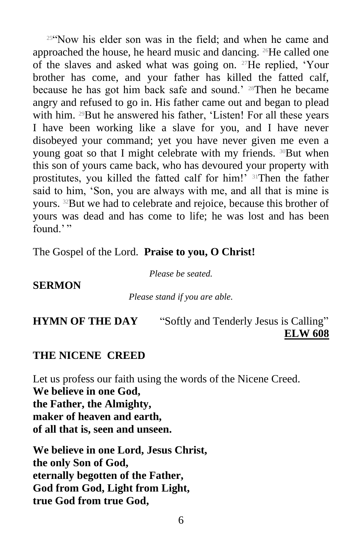<sup>25</sup>"Now his elder son was in the field; and when he came and approached the house, he heard music and dancing. <sup>26</sup>He called one of the slaves and asked what was going on. 27He replied, 'Your brother has come, and your father has killed the fatted calf, because he has got him back safe and sound.' <sup>28</sup>Then he became angry and refused to go in. His father came out and began to plead with him. <sup>29</sup>But he answered his father, 'Listen! For all these years I have been working like a slave for you, and I have never disobeyed your command; yet you have never given me even a young goat so that I might celebrate with my friends. 30But when this son of yours came back, who has devoured your property with prostitutes, you killed the fatted calf for him!' 31Then the father said to him, 'Son, you are always with me, and all that is mine is yours. 32But we had to celebrate and rejoice, because this brother of yours was dead and has come to life; he was lost and has been found."

The Gospel of the Lord. **Praise to you, O Christ!**

*Please be seated.*

#### **SERMON**

#### *Please stand if you are able.*

# **HYMN OF THE DAY** "Softly and Tenderly Jesus is Calling" **ELW 608**

### **THE NICENE CREED**

Let us profess our faith using the words of the Nicene Creed. **We believe in one God, the Father, the Almighty, maker of heaven and earth, of all that is, seen and unseen.**

**We believe in one Lord, Jesus Christ, the only Son of God, eternally begotten of the Father, God from God, Light from Light, true God from true God,**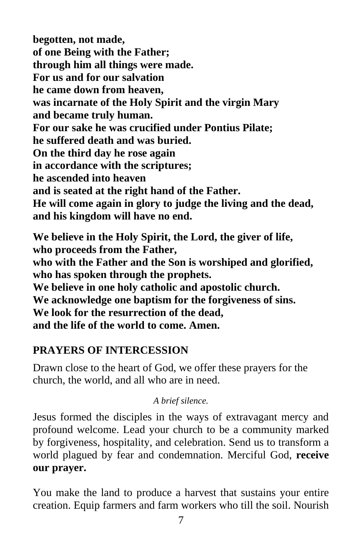**begotten, not made, of one Being with the Father; through him all things were made. For us and for our salvation he came down from heaven, was incarnate of the Holy Spirit and the virgin Mary and became truly human. For our sake he was crucified under Pontius Pilate; he suffered death and was buried. On the third day he rose again in accordance with the scriptures; he ascended into heaven and is seated at the right hand of the Father. He will come again in glory to judge the living and the dead, and his kingdom will have no end.**

**We believe in the Holy Spirit, the Lord, the giver of life, who proceeds from the Father, who with the Father and the Son is worshiped and glorified, who has spoken through the prophets. We believe in one holy catholic and apostolic church. We acknowledge one baptism for the forgiveness of sins. We look for the resurrection of the dead, and the life of the world to come. Amen.**

# **PRAYERS OF INTERCESSION**

Drawn close to the heart of God, we offer these prayers for the church, the world, and all who are in need.

## *A brief silence.*

Jesus formed the disciples in the ways of extravagant mercy and profound welcome. Lead your church to be a community marked by forgiveness, hospitality, and celebration. Send us to transform a world plagued by fear and condemnation. Merciful God, **receive our prayer.**

You make the land to produce a harvest that sustains your entire creation. Equip farmers and farm workers who till the soil. Nourish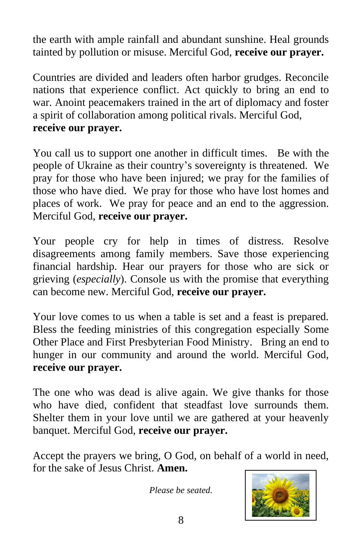the earth with ample rainfall and abundant sunshine. Heal grounds tainted by pollution or misuse. Merciful God, **receive our prayer.**

Countries are divided and leaders often harbor grudges. Reconcile nations that experience conflict. Act quickly to bring an end to war. Anoint peacemakers trained in the art of diplomacy and foster a spirit of collaboration among political rivals. Merciful God, **receive our prayer.**

You call us to support one another in difficult times. Be with the people of Ukraine as their country's sovereignty is threatened. We pray for those who have been injured; we pray for the families of those who have died. We pray for those who have lost homes and places of work. We pray for peace and an end to the aggression. Merciful God, **receive our prayer.**

Your people cry for help in times of distress. Resolve disagreements among family members. Save those experiencing financial hardship. Hear our prayers for those who are sick or grieving (*especially*). Console us with the promise that everything can become new. Merciful God, **receive our prayer.**

Your love comes to us when a table is set and a feast is prepared. Bless the feeding ministries of this congregation especially Some Other Place and First Presbyterian Food Ministry. Bring an end to hunger in our community and around the world. Merciful God, **receive our prayer.**

The one who was dead is alive again. We give thanks for those who have died, confident that steadfast love surrounds them. Shelter them in your love until we are gathered at your heavenly banquet. Merciful God, **receive our prayer.**

Accept the prayers we bring, O God, on behalf of a world in need, for the sake of Jesus Christ. **Amen.**

*Please be seated.*

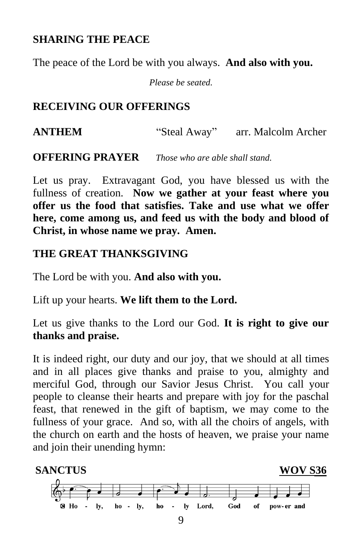# **SHARING THE PEACE**

The peace of the Lord be with you always. **And also with you.**

*Please be seated.*

# **RECEIVING OUR OFFERINGS**

**ANTHEM** "Steal Away" arr. Malcolm Archer

**OFFERING PRAYER** *Those who are able shall stand.*

Let us pray. Extravagant God, you have blessed us with the fullness of creation. **Now we gather at your feast where you offer us the food that satisfies. Take and use what we offer here, come among us, and feed us with the body and blood of Christ, in whose name we pray. Amen.**

# **THE GREAT THANKSGIVING**

The Lord be with you. **And also with you.**

Lift up your hearts. **We lift them to the Lord.**

Let us give thanks to the Lord our God. **It is right to give our thanks and praise.**

It is indeed right, our duty and our joy, that we should at all times and in all places give thanks and praise to you, almighty and merciful God, through our Savior Jesus Christ. You call your people to cleanse their hearts and prepare with joy for the paschal feast, that renewed in the gift of baptism, we may come to the fullness of your grace. And so, with all the choirs of angels, with the church on earth and the hosts of heaven, we praise your name and join their unending hymn:

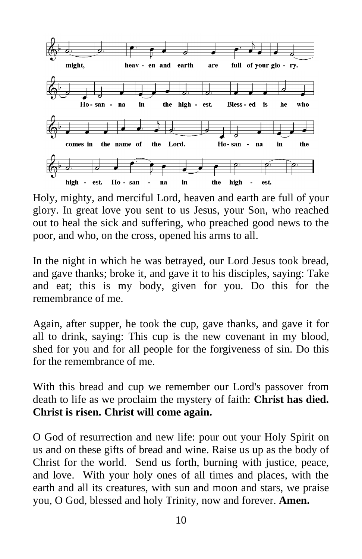

Holy, mighty, and merciful Lord, heaven and earth are full of your glory. In great love you sent to us Jesus, your Son, who reached out to heal the sick and suffering, who preached good news to the poor, and who, on the cross, opened his arms to all.

In the night in which he was betrayed, our Lord Jesus took bread, and gave thanks; broke it, and gave it to his disciples, saying: Take and eat; this is my body, given for you. Do this for the remembrance of me.

Again, after supper, he took the cup, gave thanks, and gave it for all to drink, saying: This cup is the new covenant in my blood, shed for you and for all people for the forgiveness of sin. Do this for the remembrance of me.

With this bread and cup we remember our Lord's passover from death to life as we proclaim the mystery of faith: **Christ has died. Christ is risen. Christ will come again.**

O God of resurrection and new life: pour out your Holy Spirit on us and on these gifts of bread and wine. Raise us up as the body of Christ for the world. Send us forth, burning with justice, peace, and love. With your holy ones of all times and places, with the earth and all its creatures, with sun and moon and stars, we praise you, O God, blessed and holy Trinity, now and forever. **Amen.**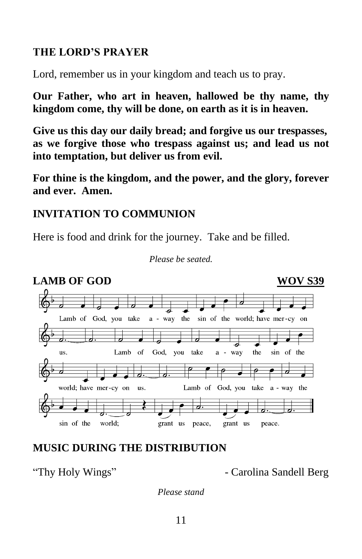# **THE LORD'S PRAYER**

Lord, remember us in your kingdom and teach us to pray.

**Our Father, who art in heaven, hallowed be thy name, thy kingdom come, thy will be done, on earth as it is in heaven.**

**Give us this day our daily bread; and forgive us our trespasses, as we forgive those who trespass against us; and lead us not into temptation, but deliver us from evil.**

**For thine is the kingdom, and the power, and the glory, forever and ever. Amen.**

# **INVITATION TO COMMUNION**

Here is food and drink for the journey. Take and be filled.



#### *Please be seated.*

# **MUSIC DURING THE DISTRIBUTION**

"Thy Holy Wings" - Carolina Sandell Berg

*Please stand*